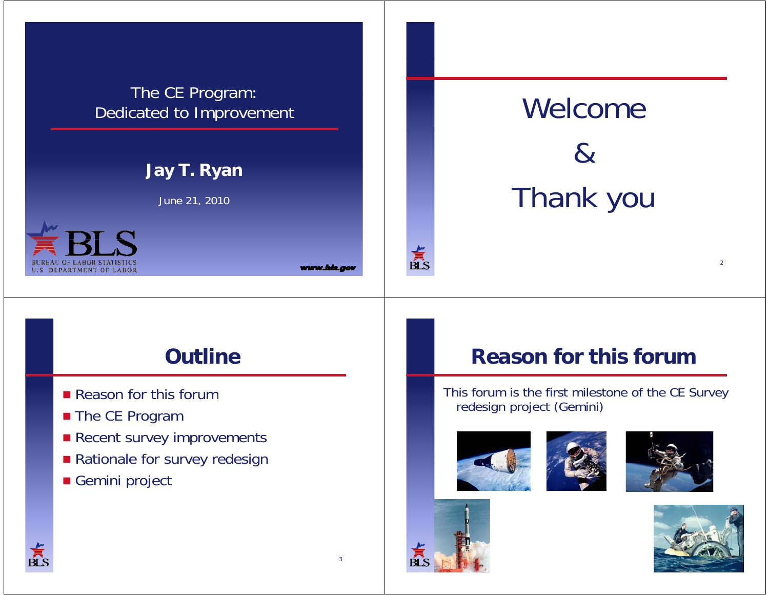### The CE Program: Dedicated to Improvement

# **Ja T R an Jay T. Ryan**

June 21, 2010



www.bis.o

# Welcome  $\&$ Thank you

# **Outline**

- **Reason for this forum**
- The CE Program
- **Recent survey improvements**
- **Rationale for survey redesign**
- Gemini project

# **Reason for this forum**

This forum is the first milestone of the CE Survey redesign project (Gemini)









 $\sum_{\text{BLS}}$ 



 $\overline{2}$ 

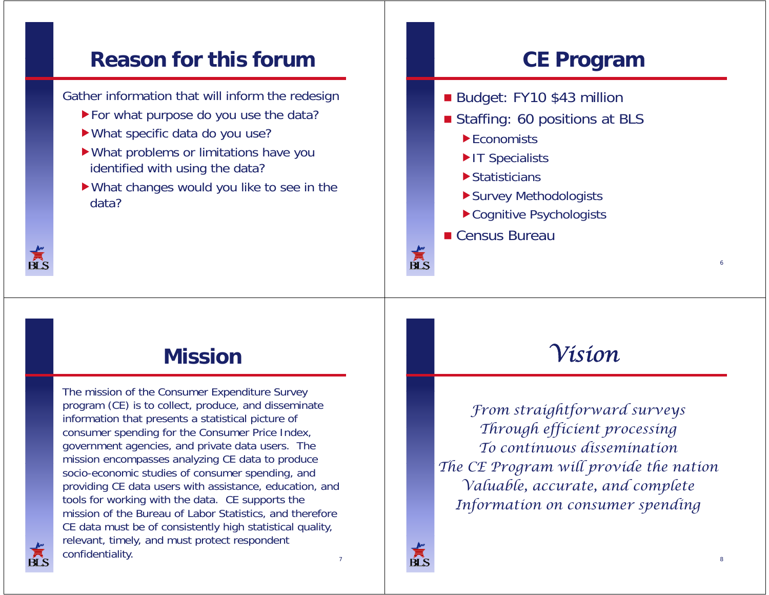#### **Reason for this forum**

Gather information that will inform the redesign

- For what purpose do you use the data?
- $\blacktriangleright$  What specific data do you use?
- What problems or limitations have you identified with using the data?
- What changes would you like to see in the data?

# **CE Program**

- Budget: FY10 \$43 million
- **Staffing: 60 positions at BLS** 
	- ▶ Economists
	- IT Specialists
	- **Statisticians**
	- Survey Methodologists
	- ▶ Cognitive Psychologists
- Census Bureau

## **Mission**

The mission of the Consumer Expenditure Survey program (CE) is to collect, produce, and disseminate information that presents a statistical picture of consumer spending for the Consumer Price Index, government agencies, and private data users. The mission encompasses analyzing CE data to produce socio-economic studies of consumer spending, and providing CE data users with assistance, education, and tools for working with the data. CE supports the mission of the Bureau of Labor Statistics, and therefore CE data must be of consistently high statistical quality, relevant, timely, and must protect respondent confidentiality.

# *Vision*

*From straightforward surveys Through efficient processing To continuous disseminationTh CE P ill id th ti The Program will provide the nation Valuable, accurate, and complete Inf <sup>i</sup> di formation on consumer spending*



Ŕľ S

6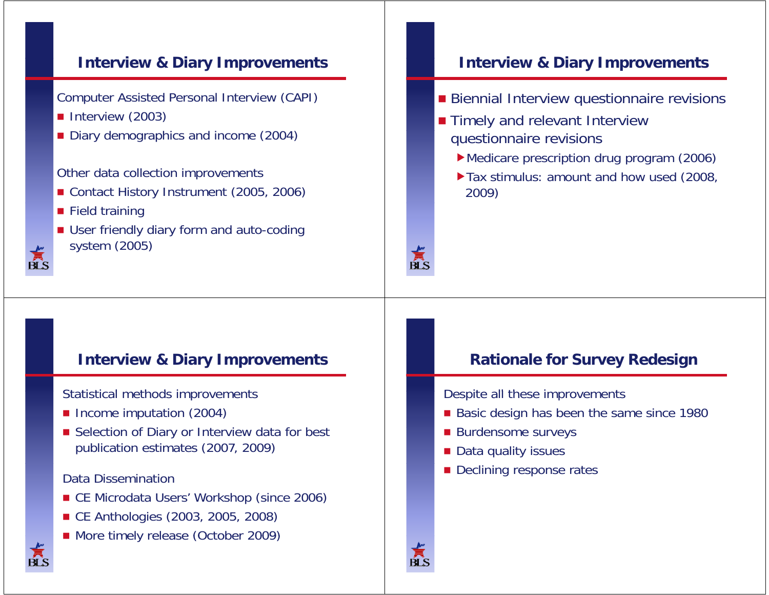### **I t i & Di I Interview Diary Improvements**

Computer Assisted Personal Interview (CAPI)

- **Interview (2003)**
- **Diary demographics and income (2004)** Diary demographics and income (2004)

Other data collection improvements

- Contact History Instrument (2005, 2006)
- **Field training**
- User friendly diary form and auto-coding system (2005)

### **I t i & Di I Interview Diary Improvements**

- **Biennial Interview questionnaire revisions**
- **Timely and relevant Interview** questionnaire revisions
	- Medicare prescription drug program (2006)
	- ▶ Tax stimulus: amount and how used (2008, 2009)

### **I t i & Di I Interview Diary Improvements**

Statistical methods improvements

- **Income imputation (2004)**
- Selection of Diary or Interview data for best publication estimates (2007, 2009)

### Data Dissemination

- CE Microdata Users' Workshop (since 2006)
- CE Anthologies (2003, 2005, 2008)
- More timely release (October 2009)

### **R ti l f S R d i Rationale for Survey Redesign**

Despite all these improvements

- **Basic design has been the same since 1980**
- **Burdensome surveys**
- Data quality issues
- **Declining response rates**

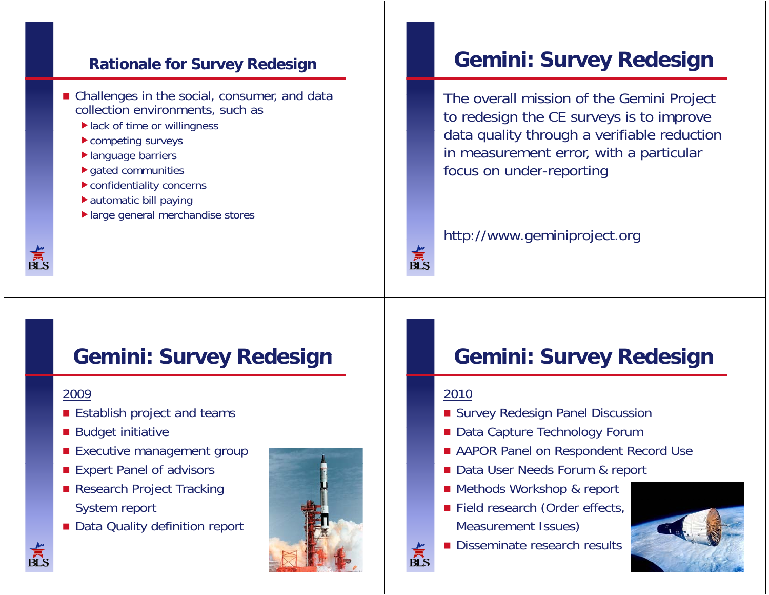### **R i l f S Rd i Rationale for Survey Redesign**

- $\blacksquare$  Challenges in the social, consumer, and data collection environments, such as
	- ▶ lack of time or willingness
	- competing surveys
	- ▶ language barriers
	- $\blacktriangleright$  gated communities
	- confidentiality concerns
	- automatic bill paying
	- large general merchandise stores



# **Gemini: Survey Redesign**

The overall mission of the Gemini Project to redesign the CE surveys is to improve data quality through a verifiable reduction in measurement error, with a particular focus on under-reporting

### http://www.geminiproject.org

# **Gemini: Survey Redesign**

### 2009

- **Establish project and teams**
- **Budget initiative**
- **Executive management group**
- **Expert Panel of advisors**
- Research Project Tracking System report
- Data Quality definition report



# **Gemini: Survey Redesign**

### 2010

 $\breve{\bar{\mathbb{A}}}$ s

 $\overline{\mathbf{B}}$   $\overline{\mathbf{S}}$ 

- **Burvey Redesign Panel Discussion**
- Data Capture Technology Forum
- **AAPOR Panel on Respondent Record Use**
- Data User Needs Forum & report
- Methods Workshop & report
- Field research (Order effects, Measurement Issues)
- Disseminate research results